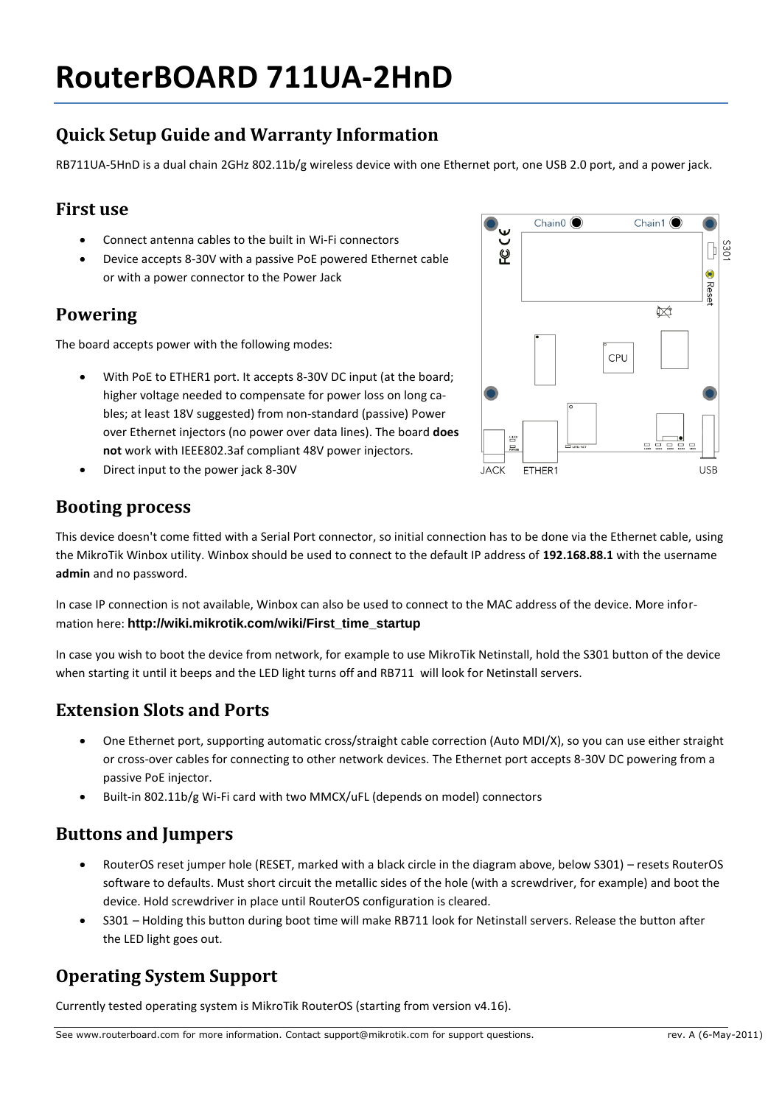# **RouterBOARD 711UA-2HnD**

## **Quick Setup Guide and Warranty Information**

RB711UA-5HnD is a dual chain 2GHz 802.11b/g wireless device with one Ethernet port, one USB 2.0 port, and a power jack.

#### **First use**

- Connect antenna cables to the built in Wi-Fi connectors
- Device accepts 8-30V with a passive PoE powered Ethernet cable or with a power connector to the Power Jack

#### **Powering**

The board accepts power with the following modes:

- With PoE to ETHER1 port. It accepts 8-30V DC input (at the board; higher voltage needed to compensate for power loss on long cables; at least 18V suggested) from non-standard (passive) Power over Ethernet injectors (no power over data lines). The board **does not** work with IEEE802.3af compliant 48V power injectors.
- Direct input to the power jack 8-30V





#### **Booting process**

This device doesn't come fitted with a Serial Port connector, so initial connection has to be done via the Ethernet cable, using the MikroTik Winbox utility. Winbox should be used to connect to the default IP address of **192.168.88.1** with the username **admin** and no password.

In case IP connection is not available, Winbox can also be used to connect to the MAC address of the device. More information here: **[http://wiki.mikrotik.com/wiki/First\\_time\\_startup](http://wiki.mikrotik.com/wiki/First_time_startup)**

In case you wish to boot the device from network, for example to use MikroTik Netinstall, hold the S301 button of the device when starting it until it beeps and the LED light turns off and RB711 will look for Netinstall servers.

#### **Extension Slots and Ports**

- One Ethernet port, supporting automatic cross/straight cable correction (Auto MDI/X), so you can use either straight or cross-over cables for connecting to other network devices. The Ethernet port accepts 8-30V DC powering from a passive PoE injector.
- Built-in 802.11b/g Wi-Fi card with two MMCX/uFL (depends on model) connectors

#### **Buttons and Jumpers**

- RouterOS reset jumper hole (RESET, marked with a black circle in the diagram above, below S301) resets RouterOS software to defaults. Must short circuit the metallic sides of the hole (with a screwdriver, for example) and boot the device. Hold screwdriver in place until RouterOS configuration is cleared.
- S301 Holding this button during boot time will make RB711 look for Netinstall servers. Release the button after the LED light goes out.

### **Operating System Support**

Currently tested operating system is MikroTik RouterOS (starting from version v4.16).